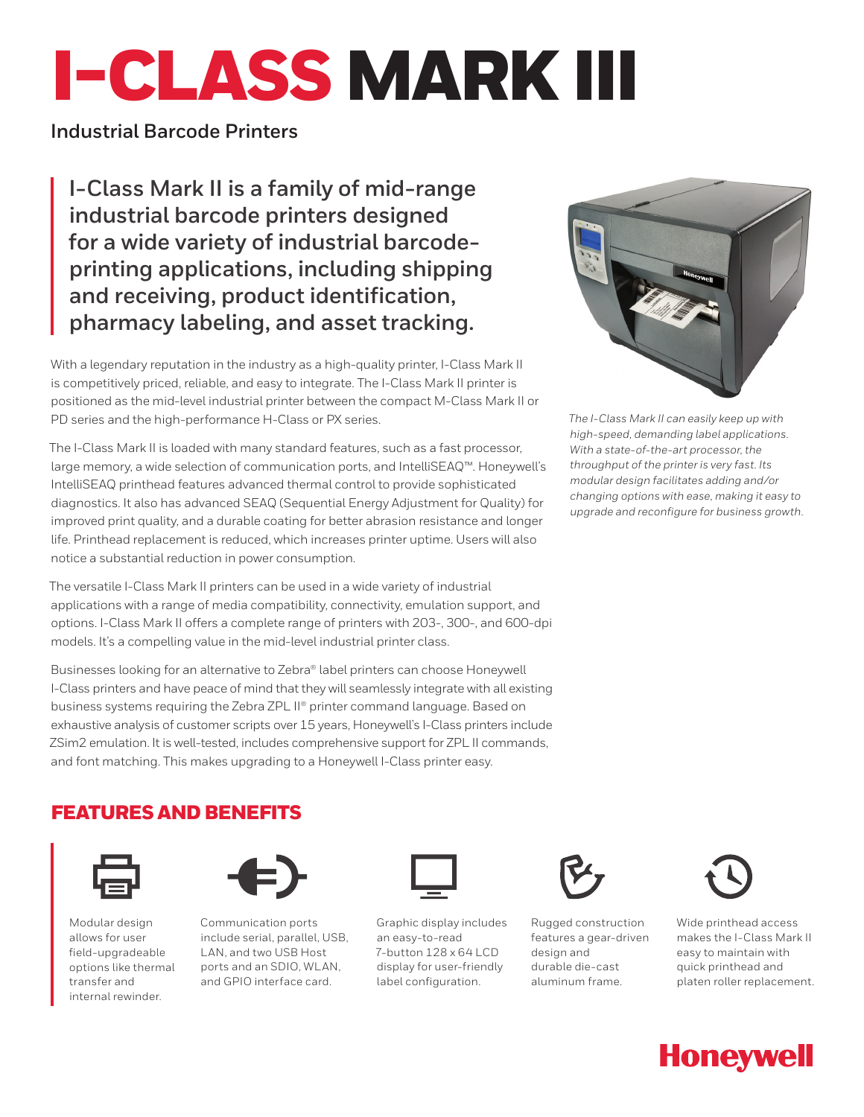# I-CLASS MARK III

# **Industrial Barcode Printers**

**I-Class Mark II is a family of mid-range industrial barcode printers designed for a wide variety of industrial barcodeprinting applications, including shipping and receiving, product identification, pharmacy labeling, and asset tracking.**

With a legendary reputation in the industry as a high-quality printer, I-Class Mark II is competitively priced, reliable, and easy to integrate. The I-Class Mark II printer is positioned as the mid-level industrial printer between the compact M-Class Mark II or PD series and the high-performance H-Class or PX series.

The I-Class Mark II is loaded with many standard features, such as a fast processor, large memory, a wide selection of communication ports, and IntelliSEAQ™. Honeywell's IntelliSEAQ printhead features advanced thermal control to provide sophisticated diagnostics. It also has advanced SEAQ (Sequential Energy Adjustment for Quality) for improved print quality, and a durable coating for better abrasion resistance and longer life. Printhead replacement is reduced, which increases printer uptime. Users will also notice a substantial reduction in power consumption.

The versatile I-Class Mark II printers can be used in a wide variety of industrial applications with a range of media compatibility, connectivity, emulation support, and options. I-Class Mark II offers a complete range of printers with 203-, 300-, and 600-dpi models. It's a compelling value in the mid-level industrial printer class.

Businesses looking for an alternative to Zebra® label printers can choose Honeywell I-Class printers and have peace of mind that they will seamlessly integrate with all existing business systems requiring the Zebra ZPL II® printer command language. Based on exhaustive analysis of customer scripts over 15 years, Honeywell's I-Class printers include ZSim2 emulation. It is well-tested, includes comprehensive support for ZPL II commands, and font matching. This makes upgrading to a Honeywell I-Class printer easy.



*The I-Class Mark II can easily keep up with high-speed, demanding label applications. With a state-of-the-art processor, the throughput of the printer is very fast. Its modular design facilitates adding and/or changing options with ease, making it easy to upgrade and reconfigure for business growth.*

# FEATURES AND BENEFITS



Modular design allows for user field-upgradeable options like thermal transfer and internal rewinder.



Communication ports include serial, parallel, USB, LAN, and two USB Host ports and an SDIO, WLAN, and GPIO interface card.



Graphic display includes an easy-to-read 7-button 128 x 64 LCD display for user-friendly label configuration.



Rugged construction features a gear-driven design and durable die-cast aluminum frame.



Wide printhead access makes the I-Class Mark II easy to maintain with quick printhead and platen roller replacement.

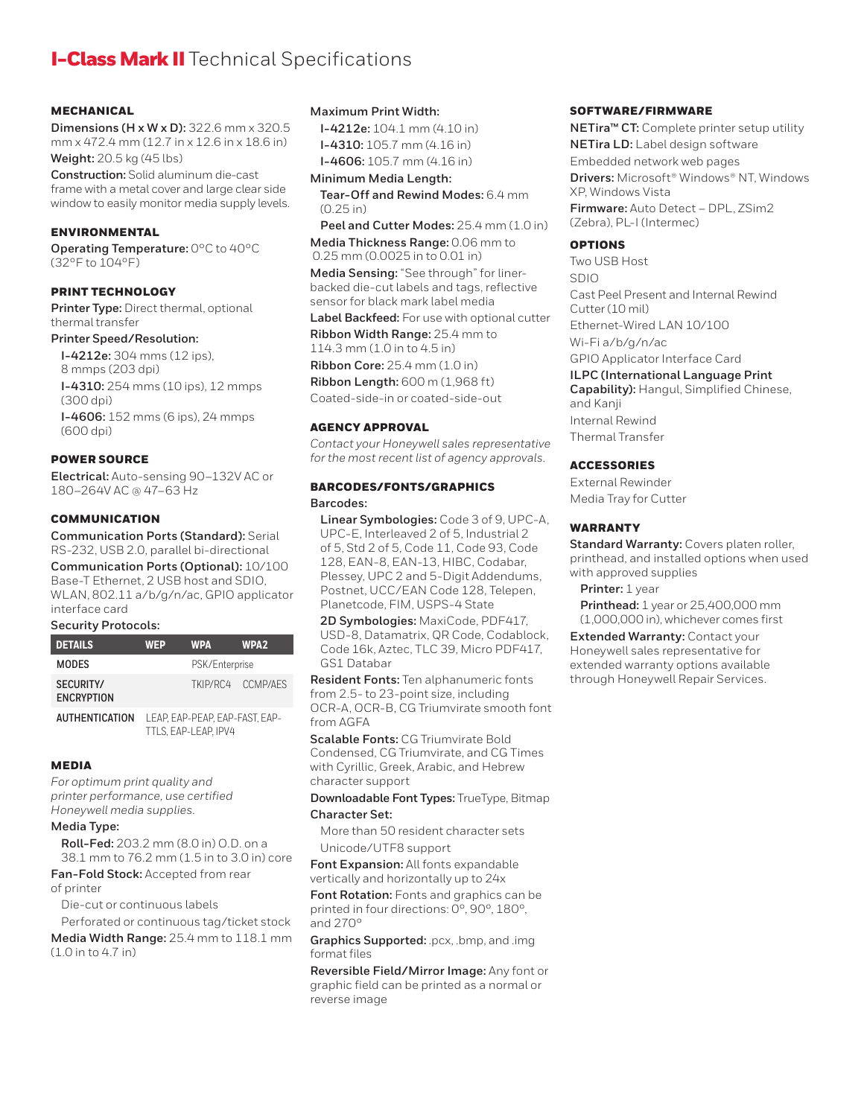# **I-Class Mark II** Technical Specifications

#### **MECHANICAL**

**Dimensions (H x W x D):** 322.6 mm x 320.5 mm x 472.4 mm (12.7 in x 12.6 in x 18.6 in) **Weight:** 20.5 kg (45 lbs)

**Construction:** Solid aluminum die-cast frame with a metal cover and large clear side window to easily monitor media supply levels.

#### ENVIRONMENTAL

**Operating Temperature:** 0°C to 40°C (32°F to 104°F)

## PRINT TECHNOLOGY

**Printer Type:** Direct thermal, optional thermal transfer

## **Printer Speed/Resolution:**

**I-4212e:** 304 mms (12 ips), 8 mmps (203 dpi) **I-4310:** 254 mms (10 ips), 12 mmps  $(300$  dpi $)$ **I-4606:** 152 mms (6 ips), 24 mmps (600 dpi)

#### POWER SOURCE

**Electrical:** Auto-sensing 90–132V AC or 180–264V AC @ 47–63 Hz

### **COMMUNICATION**

**Communication Ports (Standard):** Serial RS-232, USB 2.0, parallel bi-directional

**Communication Ports (Optional):** 10/100 Base-T Ethernet, 2 USB host and SDIO, WLAN, 802.11 a/b/g/n/ac, GPIO applicator interface card

#### **Security Protocols:**

| <b>DETAILS</b>                 | <b>WEP</b>                   | <b>WPA</b> | WPA <sub>2</sub>  |
|--------------------------------|------------------------------|------------|-------------------|
| <b>MODES</b>                   | PSK/Enterprise               |            |                   |
| SECURITY/<br><b>ENCRYPTION</b> |                              |            | TKIP/RC4 CCMP/AFS |
| <b>ALITHENTICATION</b>         | I FAD FAD DFAD FAD FAST FAD. |            |                   |

**AUTHENTICATION** TTLS, EAP-LEAP, IPV4

#### MEDIA

*For optimum print quality and printer performance, use certified Honeywell media supplies.*

#### **Media Type:**

**Roll-Fed:** 203.2 mm (8.0 in) O.D. on a 38.1 mm to 76.2 mm (1.5 in to 3.0 in) core

**Fan-Fold Stock:** Accepted from rear of printer

Die-cut or continuous labels

Perforated or continuous tag/ticket stock

**Media Width Range:** 25.4 mm to 118.1 mm (1.0 in to 4.7 in)

#### **Maximum Print Width:**

**I-4212e:** 104.1 mm (4.10 in) **I-4310:** 105.7 mm (4.16 in) **I-4606:** 105.7 mm (4.16 in)

**Minimum Media Length:**

**Tear-Off and Rewind Modes:** 6.4 mm (0.25 in)

**Peel and Cutter Modes:** 25.4 mm (1.0 in) **Media Thickness Range:** 0.06 mm to 0.25 mm (0.0025 in to 0.01 in)

**Media Sensing:** "See through" for linerbacked die-cut labels and tags, reflective sensor for black mark label media

**Label Backfeed:** For use with optional cutter

**Ribbon Width Range:** 25.4 mm to 114.3 mm (1.0 in to 4.5 in) **Ribbon Core:** 25.4 mm (1.0 in)

**Ribbon Length:** 600 m (1,968 ft)

Coated-side-in or coated-side-out

#### AGENCY APPROVAL

*Contact your Honeywell sales representative for the most recent list of agency approvals.*

#### BARCODES/FONTS/GRAPHICS **Barcodes:**

**Linear Symbologies:** Code 3 of 9, UPC-A, UPC-E, Interleaved 2 of 5, Industrial 2 of 5, Std 2 of 5, Code 11, Code 93, Code 128, EAN-8, EAN-13, HIBC, Codabar, Plessey, UPC 2 and 5-Digit Addendums, Postnet, UCC/EAN Code 128, Telepen, Planetcode, FIM, USPS-4 State

**2D Symbologies:** MaxiCode, PDF417, USD-8, Datamatrix, QR Code, Codablock, Code 16k, Aztec, TLC 39, Micro PDF417, GS1 Databar

**Resident Fonts:** Ten alphanumeric fonts from 2.5- to 23-point size, including OCR-A, OCR-B, CG Triumvirate smooth font from AGFA

**Scalable Fonts:** CG Triumvirate Bold Condensed, CG Triumvirate, and CG Times with Cyrillic, Greek, Arabic, and Hebrew character support

#### **Downloadable Font Types:** TrueType, Bitmap **Character Set:**

More than 50 resident character sets Unicode/UTF8 support

**Font Expansion:** All fonts expandable vertically and horizontally up to 24x

**Font Rotation:** Fonts and graphics can be printed in four directions: 0°, 90°, 180°, and 270°

**Graphics Supported:** .pcx, .bmp, and .img format files

**Reversible Field/Mirror Image:** Any font or graphic field can be printed as a normal or reverse image

#### SOFTWARE/FIRMWARE

**NETira™ CT:** Complete printer setup utility **NETira LD:** Label design software Embedded network web pages **Drivers:** Microsoft® Windows® NT, Windows XP, Windows Vista **Firmware:** Auto Detect – DPL, ZSim2 (Zebra), PL-I (Intermec)

#### OPTIONS

Two USB Host

SDIO Cast Peel Present and Internal Rewind Cutter (10 mil) Ethernet-Wired LAN 10/100 Wi-Fi a/b/g/n/ac

GPIO Applicator Interface Card

#### **ILPC (International Language Print**

**Capability):** Hangul, Simplified Chinese, and Kanji Internal Rewind Thermal Transfer

#### **ACCESSORIES**

External Rewinder Media Tray for Cutter

#### WARRANTY

**Standard Warranty:** Covers platen roller, printhead, and installed options when used with approved supplies

Printer: 1 year

**Printhead:** 1 year or 25,400,000 mm (1,000,000 in), whichever comes first

**Extended Warranty:** Contact your Honeywell sales representative for extended warranty options available through Honeywell Repair Services.